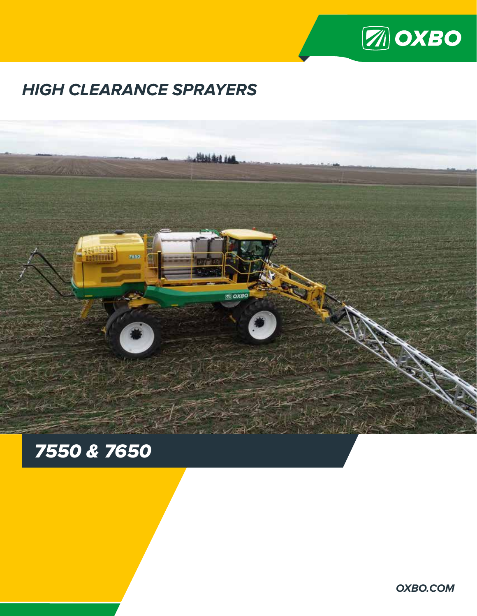

# **HIGH CLEARANCE SPRAYERS**



# *7550 & 7650*

**OXBO.COM**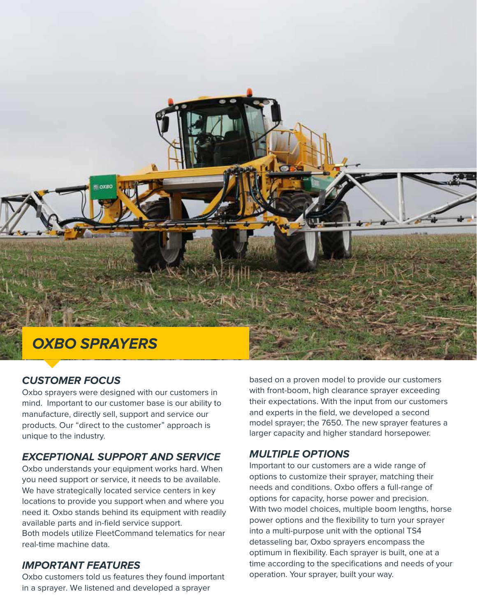

#### **CUSTOMER FOCUS**

Oxbo sprayers were designed with our customers in mind. Important to our customer base is our ability to manufacture, directly sell, support and service our products. Our "direct to the customer" approach is unique to the industry.

#### **EXCEPTIONAL SUPPORT AND SERVICE**

Oxbo understands your equipment works hard. When you need support or service, it needs to be available. We have strategically located service centers in key locations to provide you support when and where you need it. Oxbo stands behind its equipment with readily available parts and in-field service support.

Both models utilize FleetCommand telematics for near real-time machine data.

#### **IMPORTANT FEATURES**

Oxbo customers told us features they found important in a sprayer. We listened and developed a sprayer

based on a proven model to provide our customers with front-boom, high clearance sprayer exceeding their expectations. With the input from our customers and experts in the field, we developed a second model sprayer; the 7650. The new sprayer features a larger capacity and higher standard horsepower.

#### **MULTIPLE OPTIONS**

Important to our customers are a wide range of options to customize their sprayer, matching their needs and conditions. Oxbo offers a full-range of options for capacity, horse power and precision. With two model choices, multiple boom lengths, horse power options and the flexibility to turn your sprayer into a multi-purpose unit with the optional TS4 detasseling bar, Oxbo sprayers encompass the optimum in flexibility. Each sprayer is built, one at a time according to the specifications and needs of your operation. Your sprayer, built your way.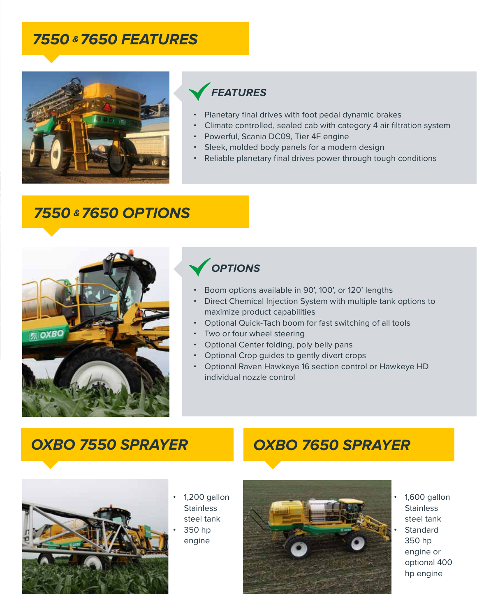## **7550 & 7650 FEATURES**



## **FEATURES**

- Planetary final drives with foot pedal dynamic brakes
- Climate controlled, sealed cab with category 4 air filtration system
- Powerful, Scania DC09, Tier 4F engine
- Sleek, molded body panels for a modern design
- Reliable planetary final drives power through tough conditions

## **7550 & 7650 OPTIONS**



## **OPTIONS**

- Boom options available in 90', 100', or 120' lengths
- Direct Chemical Injection System with multiple tank options to maximize product capabilities
- Optional Quick-Tach boom for fast switching of all tools
- Two or four wheel steering
- Optional Center folding, poly belly pans
- Optional Crop guides to gently divert crops
- Optional Raven Hawkeye 16 section control or Hawkeye HD individual nozzle control

## **OXBO 7550 SPRAYER**



- 1,200 gallon **Stainless** steel tank
	- 350 hp engine

# **OXBO 7650 SPRAYER**



• 1,600 gallon **Stainless** steel tank **Standard** 350 hp engine or optional 400 hp engine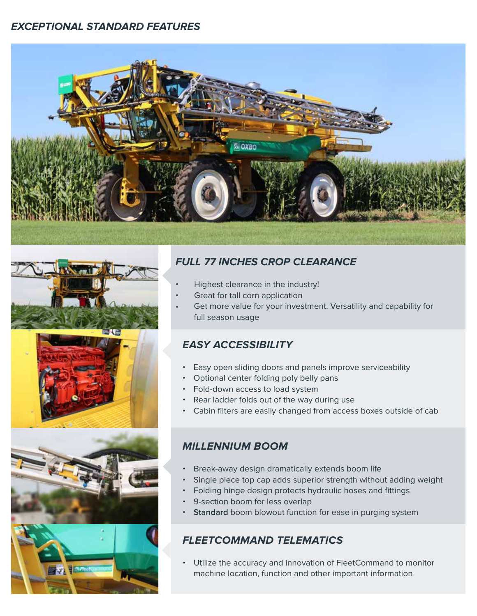#### **EXCEPTIONAL STANDARD FEATURES**









#### **FULL 77 INCHES CROP CLEARANCE**

- Highest clearance in the industry!
- Great for tall corn application
- Get more value for your investment. Versatility and capability for full season usage

#### **EASY ACCESSIBILITY**

- Easy open sliding doors and panels improve serviceability
- Optional center folding poly belly pans
- Fold-down access to load system
- Rear ladder folds out of the way during use
- Cabin filters are easily changed from access boxes outside of cab

#### **MILLENNIUM BOOM**

- Break-away design dramatically extends boom life
- Single piece top cap adds superior strength without adding weight
- Folding hinge design protects hydraulic hoses and fittings
- 9-section boom for less overlap
- **Standard** boom blowout function for ease in purging system

#### **FLEETCOMMAND TELEMATICS**

• Utilize the accuracy and innovation of FleetCommand to monitor machine location, function and other important information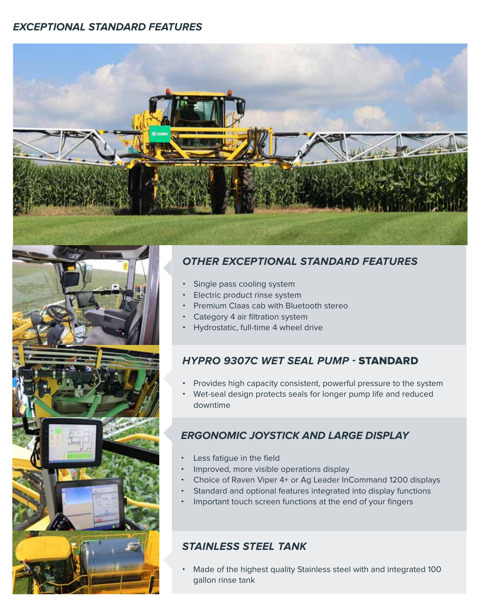#### **EXCEPTIONAL STANDARD FEATURES**



#### **OTHER EXCEPTIONAL STANDARD FEATURES**

- Single pass cooling system
- Electric product rinse system
- Premium Claas cab with Bluetooth stereo
- Category 4 air filtration system
- Hydrostatic, full-time 4 wheel drive

#### **HYPRO 9307C WET SEAL PUMP -** STANDARD

- Provides high capacity consistent, powerful pressure to the system
- Wet-seal design protects seals for longer pump life and reduced downtime

#### **ERGONOMIC JOYSTICK AND LARGE DISPLAY**

- Less fatigue in the field
- Improved, more visible operations display
- Choice of Raven Viper 4+ or Ag Leader InCommand 1200 displays
- Standard and optional features integrated into display functions
- Important touch screen functions at the end of your fingers

#### **STAINLESS STEEL TANK**

• Made of the highest quality Stainless steel with and integrated 100 gallon rinse tank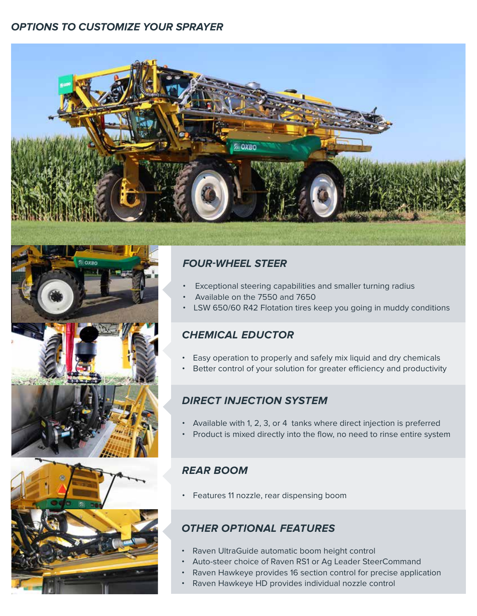#### **OPTIONS TO CUSTOMIZE YOUR SPRAYER**







#### **FOUR-WHEEL STEER**

- Exceptional steering capabilities and smaller turning radius
- Available on the 7550 and 7650
- LSW 650/60 R42 Flotation tires keep you going in muddy conditions

#### **CHEMICAL EDUCTOR**

- Easy operation to properly and safely mix liquid and dry chemicals
- Better control of your solution for greater efficiency and productivity

#### **DIRECT INJECTION SYSTEM**

- Available with 1, 2, 3, or 4 tanks where direct injection is preferred
- Product is mixed directly into the flow, no need to rinse entire system

#### **REAR BOOM**

• Features 11 nozzle, rear dispensing boom

#### **OTHER OPTIONAL FEATURES**

- Raven UltraGuide automatic boom height control
- Auto-steer choice of Raven RS1 or Ag Leader SteerCommand
- Raven Hawkeye provides 16 section control for precise application
- Raven Hawkeye HD provides individual nozzle control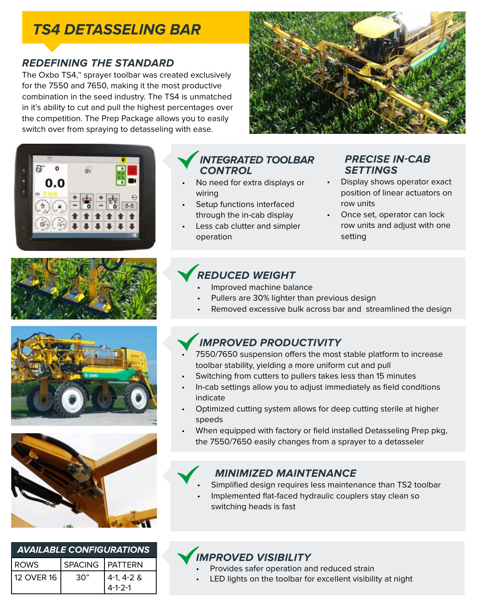## **TS4 DETASSELING BAR**

#### **REDEFINING THE STANDARD**

The Oxbo TS4,™ sprayer toolbar was created exclusively for the 7550 and 7650, making it the most productive combination in the seed industry. The TS4 is unmatched in it's ability to cut and pull the highest percentages over the competition. The Prep Package allows you to easily switch over from spraying to detasseling with ease.











| <b>AVAILABLE CONFIGURATIONS</b> |                   |                           |  |
|---------------------------------|-------------------|---------------------------|--|
| ROWS                            | SPACING   PATTERN |                           |  |
| 12 OVER 16                      | 30"               | $4-1, 4-2$ &<br>$4-1-2-1$ |  |

### **INTEGRATED TOOLBAR CONTROL**

- No need for extra displays or wiring
- Setup functions interfaced through the in-cab display
- Less cab clutter and simpler operation

### **PRECISE IN-CAB SETTINGS**

- Display shows operator exact position of linear actuators on row units
- Once set, operator can lock row units and adjust with one setting

## **REDUCED WEIGHT**

- Improved machine balance
- Pullers are 30% lighter than previous design
- Removed excessive bulk across bar and streamlined the design

## **IMPROVED PRODUCTIVITY**

- 7550/7650 suspension offers the most stable platform to increase toolbar stability, yielding a more uniform cut and pull
- Switching from cutters to pullers takes less than 15 minutes
- In-cab settings allow you to adjust immediately as field conditions indicate
- Optimized cutting system allows for deep cutting sterile at higher speeds
- When equipped with factory or field installed Detasseling Prep pkg, the 7550/7650 easily changes from a sprayer to a detasseler

#### **MINIMIZED MAINTENANCE**

- Simplified design requires less maintenance than TS2 toolbar
- Implemented flat-faced hydraulic couplers stay clean so switching heads is fast

## **IMPROVED VISIBILITY**

- Provides safer operation and reduced strain
- LED lights on the toolbar for excellent visibility at night